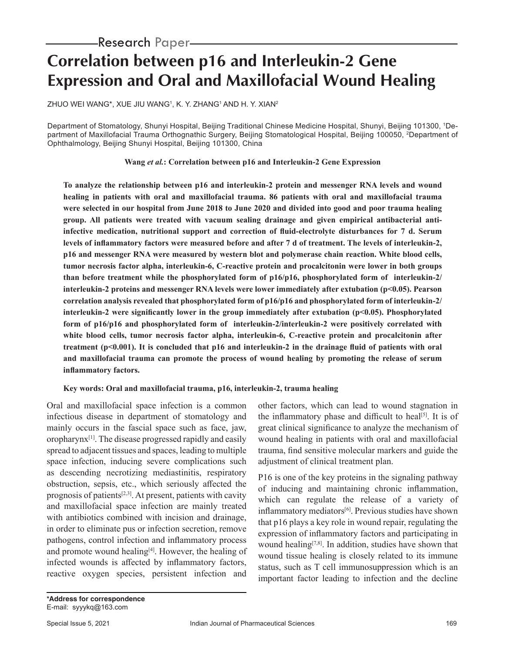# **Correlation between p16 and Interleukin-2 Gene Expression and Oral and Maxillofacial Wound Healing**

ZHUO WEI WANG\*, XUE JIU WANG1, K. Y. ZHANG1 AND H. Y. XIAN2

Department of Stomatology, Shunyi Hospital, Beijing Traditional Chinese Medicine Hospital, Shunyi, Beijing 101300, 1Department of Maxillofacial Trauma Orthognathic Surgery, Beijing Stomatological Hospital, Beijing 100050, <sup>2</sup>Department of Ophthalmology, Beijing Shunyi Hospital, Beijing 101300, China

**Wang** *et al.***: Correlation between p16 and Interleukin-2 Gene Expression**

**To analyze the relationship between p16 and interleukin-2 protein and messenger RNA levels and wound healing in patients with oral and maxillofacial trauma. 86 patients with oral and maxillofacial trauma were selected in our hospital from June 2018 to June 2020 and divided into good and poor trauma healing group. All patients were treated with vacuum sealing drainage and given empirical antibacterial antiinfective medication, nutritional support and correction of fluid-electrolyte disturbances for 7 d. Serum levels of inflammatory factors were measured before and after 7 d of treatment. The levels of interleukin-2, p16 and messenger RNA were measured by western blot and polymerase chain reaction. White blood cells, tumor necrosis factor alpha, interleukin-6, C-reactive protein and procalcitonin were lower in both groups than before treatment while the phosphorylated form of p16/p16, phosphorylated form of interleukin-2/ interleukin-2 proteins and messenger RNA levels were lower immediately after extubation (p<0.05). Pearson correlation analysis revealed that phosphorylated form of p16/p16 and phosphorylated form of interleukin-2/ interleukin-2 were significantly lower in the group immediately after extubation (p<0.05). Phosphorylated form of p16/p16 and phosphorylated form of interleukin-2/interleukin-2 were positively correlated with white blood cells, tumor necrosis factor alpha, interleukin-6, C-reactive protein and procalcitonin after treatment (p<0.001). It is concluded that p16 and interleukin-2 in the drainage fluid of patients with oral and maxillofacial trauma can promote the process of wound healing by promoting the release of serum inflammatory factors.**

### **Key words: Oral and maxillofacial trauma, p16, interleukin-2, trauma healing**

Oral and maxillofacial space infection is a common infectious disease in department of stomatology and mainly occurs in the fascial space such as face, jaw, oropharynx[1]. The disease progressed rapidly and easily spread to adjacent tissues and spaces, leading to multiple space infection, inducing severe complications such as descending necrotizing mediastinitis, respiratory obstruction, sepsis, etc., which seriously affected the prognosis of patients<sup>[2,3]</sup>. At present, patients with cavity and maxillofacial space infection are mainly treated with antibiotics combined with incision and drainage, in order to eliminate pus or infection secretion, remove pathogens, control infection and inflammatory process and promote wound healing $[4]$ . However, the healing of infected wounds is affected by inflammatory factors, reactive oxygen species, persistent infection and other factors, which can lead to wound stagnation in the inflammatory phase and difficult to heal<sup>[5]</sup>. It is of great clinical significance to analyze the mechanism of wound healing in patients with oral and maxillofacial trauma, find sensitive molecular markers and guide the adjustment of clinical treatment plan.

P16 is one of the key proteins in the signaling pathway of inducing and maintaining chronic inflammation, which can regulate the release of a variety of inflammatory mediators<sup>[6]</sup>. Previous studies have shown that p16 plays a key role in wound repair, regulating the expression of inflammatory factors and participating in wound healing<sup>[7,8]</sup>. In addition, studies have shown that wound tissue healing is closely related to its immune status, such as T cell immunosuppression which is an important factor leading to infection and the decline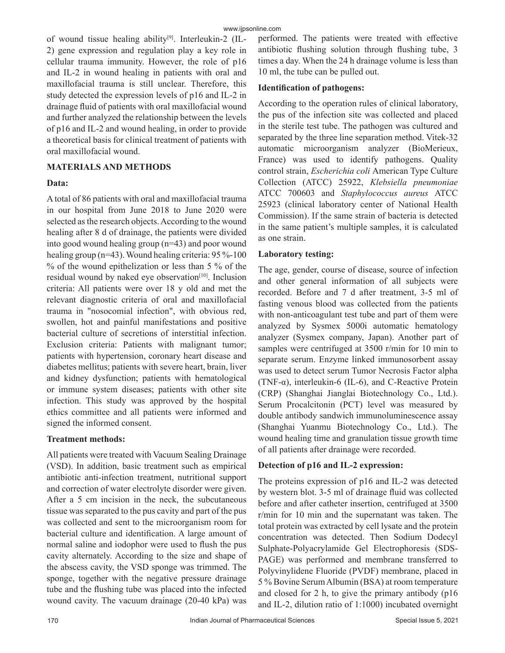of wound tissue healing ability[9]. Interleukin-2 (IL-2) gene expression and regulation play a key role in cellular trauma immunity. However, the role of p16 and IL-2 in wound healing in patients with oral and maxillofacial trauma is still unclear. Therefore, this study detected the expression levels of p16 and IL-2 in drainage fluid of patients with oral maxillofacial wound and further analyzed the relationship between the levels of p16 and IL-2 and wound healing, in order to provide a theoretical basis for clinical treatment of patients with oral maxillofacial wound.

### **MATERIALS AND METHODS**

#### **Data:**

A total of 86 patients with oral and maxillofacial trauma in our hospital from June 2018 to June 2020 were selected as the research objects. According to the wound healing after 8 d of drainage, the patients were divided into good wound healing group (n=43) and poor wound healing group (n=43). Wound healing criteria: 95 %-100 % of the wound epithelization or less than 5 % of the residual wound by naked eye observation<sup>[10]</sup>. Inclusion criteria: All patients were over 18 y old and met the relevant diagnostic criteria of oral and maxillofacial trauma in "nosocomial infection", with obvious red, swollen, hot and painful manifestations and positive bacterial culture of secretions of interstitial infection. Exclusion criteria: Patients with malignant tumor; patients with hypertension, coronary heart disease and diabetes mellitus; patients with severe heart, brain, liver and kidney dysfunction; patients with hematological or immune system diseases; patients with other site infection. This study was approved by the hospital ethics committee and all patients were informed and signed the informed consent.

### **Treatment methods:**

All patients were treated with Vacuum Sealing Drainage (VSD). In addition, basic treatment such as empirical antibiotic anti-infection treatment, nutritional support and correction of water electrolyte disorder were given. After a 5 cm incision in the neck, the subcutaneous tissue was separated to the pus cavity and part of the pus was collected and sent to the microorganism room for bacterial culture and identification. A large amount of normal saline and iodophor were used to flush the pus cavity alternately. According to the size and shape of the abscess cavity, the VSD sponge was trimmed. The sponge, together with the negative pressure drainage tube and the flushing tube was placed into the infected wound cavity. The vacuum drainage (20-40 kPa) was

performed. The patients were treated with effective antibiotic flushing solution through flushing tube, 3 times a day. When the 24 h drainage volume is less than 10 ml, the tube can be pulled out.

## **Identification of pathogens:**

According to the operation rules of clinical laboratory, the pus of the infection site was collected and placed in the sterile test tube. The pathogen was cultured and separated by the three line separation method. Vitek-32 automatic microorganism analyzer (BioMerieux, France) was used to identify pathogens. Quality control strain, *Escherichia coli* American Type Culture Collection (ATCC) 25922, *Klebsiella pneumoniae*  ATCC 700603 and *Staphylococcus aureus* ATCC 25923 (clinical laboratory center of National Health Commission). If the same strain of bacteria is detected in the same patient's multiple samples, it is calculated as one strain.

### **Laboratory testing:**

The age, gender, course of disease, source of infection and other general information of all subjects were recorded. Before and 7 d after treatment, 3-5 ml of fasting venous blood was collected from the patients with non-anticoagulant test tube and part of them were analyzed by Sysmex 5000i automatic hematology analyzer (Sysmex company, Japan). Another part of samples were centrifuged at 3500 r/min for 10 min to separate serum. Enzyme linked immunosorbent assay was used to detect serum Tumor Necrosis Factor alpha (TNF-α), interleukin-6 (IL-6), and C-Reactive Protein (CRP) (Shanghai Jianglai Biotechnology Co., Ltd.). Serum Procalcitonin (PCT) level was measured by double antibody sandwich immunoluminescence assay (Shanghai Yuanmu Biotechnology Co., Ltd.). The wound healing time and granulation tissue growth time of all patients after drainage were recorded.

# **Detection of p16 and IL-2 expression:**

The proteins expression of p16 and IL-2 was detected by western blot. 3-5 ml of drainage fluid was collected before and after catheter insertion, centrifuged at 3500 r/min for 10 min and the supernatant was taken. The total protein was extracted by cell lysate and the protein concentration was detected. Then Sodium Dodecyl Sulphate-Polyacrylamide Gel Electrophoresis (SDS-PAGE) was performed and membrane transferred to Polyvinylidene Fluoride (PVDF) membrane, placed in 5 % Bovine Serum Albumin (BSA) at room temperature and closed for 2 h, to give the primary antibody (p16 and IL-2, dilution ratio of 1:1000) incubated overnight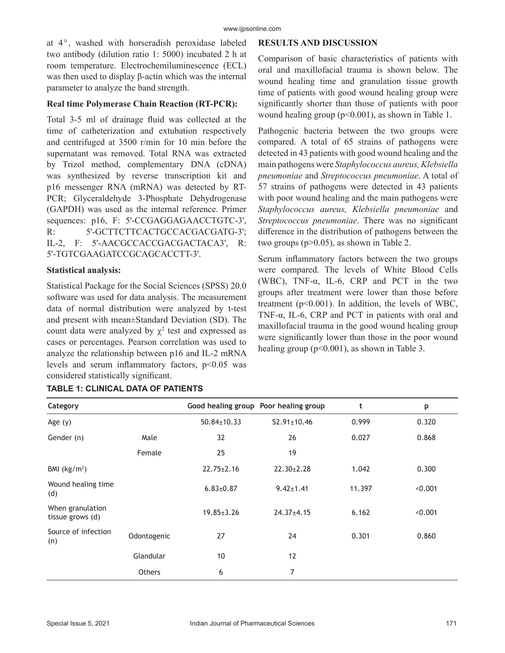at 4°, washed with horseradish peroxidase labeled two antibody (dilution ratio 1: 5000) incubated 2 h at room temperature. Electrochemiluminescence (ECL) was then used to display β-actin which was the internal parameter to analyze the band strength.

#### **Real time Polymerase Chain Reaction (RT-PCR):**

Total 3-5 ml of drainage fluid was collected at the time of catheterization and extubation respectively and centrifuged at 3500 r/min for 10 min before the supernatant was removed. Total RNA was extracted by Trizol method, complementary DNA (cDNA) was synthesized by reverse transcription kit and p16 messenger RNA (mRNA) was detected by RT-PCR; Glyceraldehyde 3-Phosphate Dehydrogenase (GAPDH) was used as the internal reference. Primer sequences: p16, F: 5'-CCGAGGAGAACCTGTC-3', R: 5'-GCTTCTTCACTGCCACGACGATG-3'; IL-2, F: 5'-AACGCCACCGACGACTACA3', R: 5'-TGTCGAAGATCCGCAGCACCTT-3'.

#### **Statistical analysis:**

Statistical Package for the Social Sciences (SPSS) 20.0 software was used for data analysis. The measurement data of normal distribution were analyzed by t-test and present with mean±Standard Deviation (SD). The count data were analyzed by  $\chi^2$  test and expressed as cases or percentages. Pearson correlation was used to analyze the relationship between p16 and IL-2 mRNA levels and serum inflammatory factors,  $p<0.05$  was considered statistically significant.

#### **RESULTS AND DISCUSSION**

Comparison of basic characteristics of patients with oral and maxillofacial trauma is shown below. The wound healing time and granulation tissue growth time of patients with good wound healing group were significantly shorter than those of patients with poor wound healing group ( $p<0.001$ ), as shown in Table 1.

Pathogenic bacteria between the two groups were compared. A total of 65 strains of pathogens were detected in 43 patients with good wound healing and the main pathogens were *Staphylococcus aureus, Klebsiella pneumoniae* and *Streptococcus pneumoniae*. A total of 57 strains of pathogens were detected in 43 patients with poor wound healing and the main pathogens were *Staphylococcus aureus, Klebsiella pneumoniae* and *Streptococcus pneumoniae*. There was no significant difference in the distribution of pathogens between the two groups (p>0.05), as shown in Table 2.

Serum inflammatory factors between the two groups were compared. The levels of White Blood Cells (WBC), TNF-α, IL-6, CRP and PCT in the two groups after treatment were lower than those before treatment (p<0.001). In addition, the levels of WBC, TNF-α, IL-6, CRP and PCT in patients with oral and maxillofacial trauma in the good wound healing group were significantly lower than those in the poor wound healing group (p<0.001), as shown in Table 3.

| Category                             |               |                   | Good healing group Poor healing group | t      | p       |
|--------------------------------------|---------------|-------------------|---------------------------------------|--------|---------|
| Age $(y)$                            |               | $50.84 \pm 10.33$ | $52.91 \pm 10.46$                     | 0.999  | 0.320   |
| Gender (n)                           | Male          | 32                | 26                                    | 0.027  | 0.868   |
|                                      | Female        | 25                | 19                                    |        |         |
| BMI $(kg/m2)$                        |               | $22.75 \pm 2.16$  | $22.30 \pm 2.28$                      | 1.042  | 0.300   |
| Wound healing time<br>(d)            |               | $6.83{\pm}0.87$   | $9.42 \pm 1.41$                       | 11.397 | < 0.001 |
| When granulation<br>tissue grows (d) |               | $19.85 \pm 3.26$  | $24.37 + 4.15$                        | 6.162  | < 0.001 |
| Source of infection<br>(n)           | Odontogenic   | 27                | 24                                    | 0.301  | 0.860   |
|                                      | Glandular     | 10                | 12                                    |        |         |
|                                      | <b>Others</b> | 6                 | 7                                     |        |         |

#### **TABLE 1: CLINICAL DATA OF PATIENTS**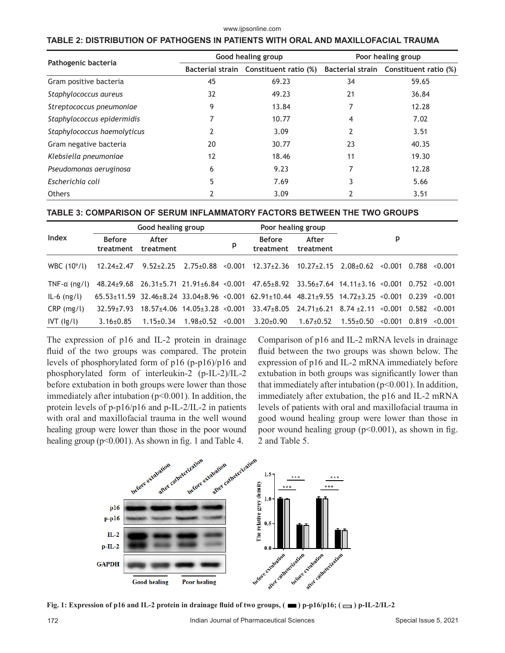#### www.ijpsonline.com

#### **TABLE 2: DISTRIBUTION OF PATHOGENS IN PATIENTS WITH ORAL AND MAXILLOFACIAL TRAUMA**

| Pathogenic bacteria         |    | Good healing group                     | Poor healing group |                                        |  |
|-----------------------------|----|----------------------------------------|--------------------|----------------------------------------|--|
|                             |    | Bacterial strain Constituent ratio (%) |                    | Bacterial strain Constituent ratio (%) |  |
| Gram positive bacteria      | 45 | 69.23                                  | 34                 | 59.65                                  |  |
| Staphylococcus aureus       | 32 | 49.23                                  | 21                 | 36.84                                  |  |
| Streptococcus pneumoniae    | 9  | 13.84                                  |                    | 12.28                                  |  |
| Staphylococcus epidermidis  |    | 10.77                                  | 4                  | 7.02                                   |  |
| Staphylococcus haemolyticus |    | 3.09                                   |                    | 3.51                                   |  |
| Gram negative bacteria      | 20 | 30.77                                  | 23                 | 40.35                                  |  |
| Klebsiella pneumoniae       | 12 | 18.46                                  | 11                 | 19.30                                  |  |
| Pseudomonas aeruginosa      | 6  | 9.23                                   |                    | 12.28                                  |  |
| Escherichia coli            | 5  | 7.69                                   |                    | 5.66                                   |  |
| <b>Others</b>               |    | 3.09                                   |                    | 3.51                                   |  |

# **TABLE 3: COMPARISON OF SERUM INFLAMMATORY FACTORS BETWEEN THE TWO GROUPS**

|                         |                            | Good healing group |                         |   | Poor healing group                                                                                  |                    |                              |         |                   |
|-------------------------|----------------------------|--------------------|-------------------------|---|-----------------------------------------------------------------------------------------------------|--------------------|------------------------------|---------|-------------------|
| Index                   | <b>Before</b><br>treatment | After<br>treatment |                         | p | <b>Before</b><br>treatment                                                                          | After<br>treatment |                              | p       |                   |
| WBC $(10^9/l)$          | $12.24 \pm 2.47$           |                    |                         |   | 9.52±2.25 2.75±0.88 < 0.001 12.37±2.36 10.27±2.15 2.08±0.62 < 0.001 0.788 < 0.001                   |                    |                              |         |                   |
| TNF- $\alpha$ (ng/l)    |                            |                    |                         |   | 48.24±9.68 26.31±5.71 21.91±6.84 <0.001 47.65±8.92 33.56±7.64 14.11±3.16 <0.001 0.752 <0.001        |                    |                              |         |                   |
| $IL-6$ (ng/l)           |                            |                    |                         |   | 65.53±11.59 32.46±8.24 33.04±8.96 <0.001 62.91±10.44 48.21±9.55 14.72±3.25 <0.001 0.239 <0.001      |                    |                              |         |                   |
| $CRP$ (mg/l)            | $32.59 + 7.93$             |                    |                         |   | $18.57 \pm 4.06$ $14.05 \pm 3.28$ < 0.001 $33.47 \pm 8.05$ 24.71 $\pm 6.21$ 8.74 $\pm 2.11$ < 0.001 |                    |                              |         | $0.582 \le 0.001$ |
| $IVT$ ( $ g/l\rangle$ ) | $3.16 + 0.85$              | $1.15 \pm 0.34$    | $1.98 \pm 0.52$ < 0.001 |   | $3.20+0.90$                                                                                         | $1.67 \pm 0.52$    | $1.55{\scriptstyle \pm0.50}$ | < 0.001 | $0.819 \le 0.001$ |

The expression of p16 and IL-2 protein in drainage fluid of the two groups was compared. The protein levels of phosphorylated form of p16 (p-p16)/p16 and phosphorylated form of interleukin-2 (p-IL-2)/IL-2 before extubation in both groups were lower than those immediately after intubation ( $p<0.001$ ). In addition, the protein levels of p-p16/p16 and p-IL-2/IL-2 in patients with oral and maxillofacial trauma in the well wound healing group were lower than those in the poor wound healing group ( $p<0.001$ ). As shown in fig. 1 and Table 4.

Comparison of p16 and IL-2 mRNA levels in drainage fluid between the two groups was shown below. The expression of p16 and IL-2 mRNA immediately before extubation in both groups was significantly lower than that immediately after intubation  $(p<0.001)$ . In addition, immediately after extubation, the p16 and IL-2 mRNA levels of patients with oral and maxillofacial trauma in good wound healing group were lower than those in poor wound healing group  $(p<0.001)$ , as shown in fig. 2 and Table 5.



**Fig. 1: Expression of p16 and IL-2 protein in drainage fluid of two groups,**  $(\blacksquare)$  **p-p16/p16;**  $(\blacksquare)$  **p-IL-2/IL-2**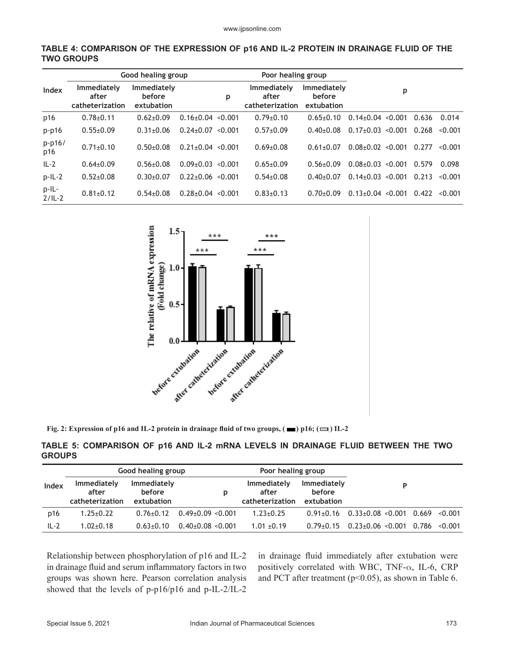|                   |                                         | Good healing group                  |                         |         | Poor healing group                      |                                     |                         |       |         |
|-------------------|-----------------------------------------|-------------------------------------|-------------------------|---------|-----------------------------------------|-------------------------------------|-------------------------|-------|---------|
| Index             | Immediately<br>after<br>catheterization | Immediately<br>before<br>extubation |                         | p       | Immediately<br>after<br>catheterization | Immediately<br>before<br>extubation | p                       |       |         |
| p16               | $0.78 + 0.11$                           | $0.62{\pm}0.09$                     | $0.16 \pm 0.04$ < 0.001 |         | $0.79 \pm 0.10$                         | $0.65 + 0.10$                       | $0.14 \pm 0.04$ < 0.001 | 0.636 | 0.014   |
| $p-p16$           | $0.55+0.09$                             | $0.31 \pm 0.06$                     | $0.24 \pm 0.07$         | < 0.001 | $0.57+0.09$                             | $0.40 + 0.08$                       | $0.17 \pm 0.03$ < 0.001 | 0.268 | < 0.001 |
| p-p16/<br>p16     | $0.71 \pm 0.10$                         | $0.50 + 0.08$                       | $0.21+0.04 \le 0.001$   |         | $0.69 \pm 0.08$                         | $0.61 + 0.07$                       | $0.08+0.02 < 0.001$     | 0.277 | < 0.001 |
| $IL-2$            | $0.64 \pm 0.09$                         | $0.56 \pm 0.08$                     | $0.09 \pm 0.03$         | < 0.001 | $0.65 \pm 0.09$                         | $0.56 \pm 0.09$                     | $0.08 \pm 0.03$ < 0.001 | 0.579 | 0.098   |
| $p$ -IL-2         | $0.52+0.08$                             | $0.30+0.07$                         | $0.22 \pm 0.06$         | < 0.001 | $0.54 \pm 0.08$                         | $0.40 + 0.07$                       | $0.14\pm0.03$ < 0.001   | 0.213 | < 0.001 |
| p-IL-<br>$2/IL-2$ | $0.81 \pm 0.12$                         | $0.54 + 0.08$                       | $0.28 + 0.04$           | < 0.001 | $0.83+0.13$                             | $0.70 + 0.09$                       | $0.13 \pm 0.04$ < 0.001 | 0.422 | < 0.001 |





**Fig. 2: Expression of p16 and IL-2 protein in drainage fluid of two groups,**  $(\blacksquare)$  **p16;**  $(\blacksquare)$  **IL-2** 

#### **TABLE 5: COMPARISON OF p16 AND IL-2 mRNA LEVELS IN DRAINAGE FLUID BETWEEN THE TWO GROUPS**

|        |                                                | Good healing group                         |                       | Poor healing group                             |                                            |                         |       |         |
|--------|------------------------------------------------|--------------------------------------------|-----------------------|------------------------------------------------|--------------------------------------------|-------------------------|-------|---------|
| Index  | <b>Immediately</b><br>after<br>catheterization | <b>Immediately</b><br>before<br>extubation | р                     | <b>Immediately</b><br>after<br>catheterization | <b>Immediately</b><br>before<br>extubation | D                       |       |         |
| p16    | $1.25 \pm 0.22$                                | $0.76 + 0.12$                              | $0.49 + 0.09 < 0.001$ | $1.23 \pm 0.25$                                | $0.91 + 0.16$                              | $0.33 \pm 0.08$ < 0.001 | 0.669 | < 0.001 |
| $IL-2$ | $1.02 + 0.18$                                  | $0.63 + 0.10$                              | $0.40\pm0.08$ < 0.001 | $1.01 \pm 0.19$                                | $0.79 + 0.15$                              | $0.23+0.06$ < $0.001$   | 0.786 | < 0.001 |

Relationship between phosphorylation of p16 and IL-2 in drainage fluid and serum inflammatory factors in two groups was shown here. Pearson correlation analysis showed that the levels of p-p16/p16 and p-IL-2/IL-2

in drainage fluid immediately after extubation were positively correlated with WBC, TNF- $\alpha$ , IL-6, CRP and PCT after treatment ( $p$ <0.05), as shown in Table 6.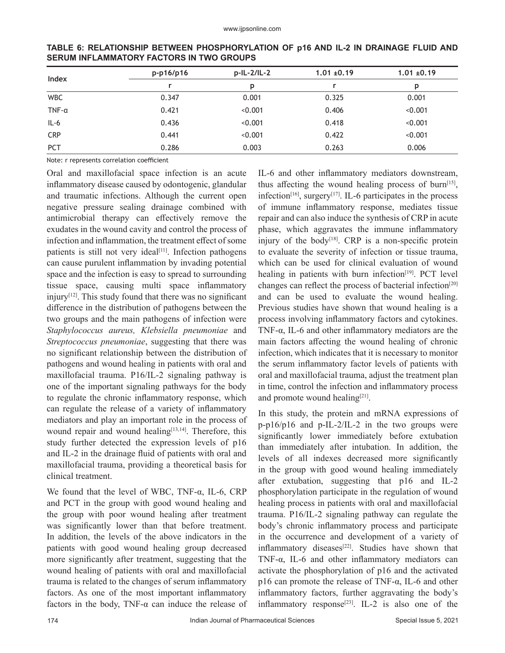| Index          | p-p16/p16 | p-IL-2/IL-2 | $1.01 \pm 0.19$ | $1.01 \pm 0.19$ |
|----------------|-----------|-------------|-----------------|-----------------|
|                |           | D           |                 |                 |
| <b>WBC</b>     | 0.347     | 0.001       | 0.325           | 0.001           |
| $TNF - \alpha$ | 0.421     | < 0.001     | 0.406           | < 0.001         |
| $IL-6$         | 0.436     | < 0.001     | 0.418           | < 0.001         |
| <b>CRP</b>     | 0.441     | < 0.001     | 0.422           | < 0.001         |
| <b>PCT</b>     | 0.286     | 0.003       | 0.263           | 0.006           |

**TABLE 6: RELATIONSHIP BETWEEN PHOSPHORYLATION OF p16 AND IL-2 IN DRAINAGE FLUID AND SERUM INFLAMMATORY FACTORS IN TWO GROUPS**

Note: r represents correlation coefficient

Oral and maxillofacial space infection is an acute inflammatory disease caused by odontogenic, glandular and traumatic infections. Although the current open negative pressure sealing drainage combined with antimicrobial therapy can effectively remove the exudates in the wound cavity and control the process of infection and inflammation, the treatment effect of some patients is still not very ideal<sup>[11]</sup>. Infection pathogens can cause purulent inflammation by invading potential space and the infection is easy to spread to surrounding tissue space, causing multi space inflammatory injury $[12]$ . This study found that there was no significant difference in the distribution of pathogens between the two groups and the main pathogens of infection were *Staphylococcus aureus, Klebsiella pneumoniae* and *Streptococcus pneumoniae*, suggesting that there was no significant relationship between the distribution of pathogens and wound healing in patients with oral and maxillofacial trauma. P16/IL-2 signaling pathway is one of the important signaling pathways for the body to regulate the chronic inflammatory response, which can regulate the release of a variety of inflammatory mediators and play an important role in the process of wound repair and wound healing<sup>[13,14]</sup>. Therefore, this study further detected the expression levels of p16 and IL-2 in the drainage fluid of patients with oral and maxillofacial trauma, providing a theoretical basis for clinical treatment.

We found that the level of WBC, TNF- $\alpha$ , IL-6, CRP and PCT in the group with good wound healing and the group with poor wound healing after treatment was significantly lower than that before treatment. In addition, the levels of the above indicators in the patients with good wound healing group decreased more significantly after treatment, suggesting that the wound healing of patients with oral and maxillofacial trauma is related to the changes of serum inflammatory factors. As one of the most important inflammatory factors in the body, TNF- $\alpha$  can induce the release of IL-6 and other inflammatory mediators downstream, thus affecting the wound healing process of burn<sup>[15]</sup>, infection<sup>[16]</sup>, surgery<sup>[17]</sup>. IL-6 participates in the process of immune inflammatory response, mediates tissue repair and can also induce the synthesis of CRP in acute phase, which aggravates the immune inflammatory injury of the body<sup>[18]</sup>. CRP is a non-specific protein to evaluate the severity of infection or tissue trauma, which can be used for clinical evaluation of wound healing in patients with burn infection $[19]$ . PCT level changes can reflect the process of bacterial infection<sup>[20]</sup> and can be used to evaluate the wound healing. Previous studies have shown that wound healing is a process involving inflammatory factors and cytokines. TNF-α, IL-6 and other inflammatory mediators are the main factors affecting the wound healing of chronic infection, which indicates that it is necessary to monitor the serum inflammatory factor levels of patients with oral and maxillofacial trauma, adjust the treatment plan in time, control the infection and inflammatory process and promote wound healing<sup>[21]</sup>.

In this study, the protein and mRNA expressions of p-p16/p16 and p-IL-2/IL-2 in the two groups were significantly lower immediately before extubation than immediately after intubation. In addition, the levels of all indexes decreased more significantly in the group with good wound healing immediately after extubation, suggesting that p16 and IL-2 phosphorylation participate in the regulation of wound healing process in patients with oral and maxillofacial trauma. P16/IL-2 signaling pathway can regulate the body's chronic inflammatory process and participate in the occurrence and development of a variety of inflammatory diseases<sup>[22]</sup>. Studies have shown that TNF-α, IL-6 and other inflammatory mediators can activate the phosphorylation of p16 and the activated p16 can promote the release of TNF-α, IL-6 and other inflammatory factors, further aggravating the body's inflammatory response<sup>[23]</sup>. IL-2 is also one of the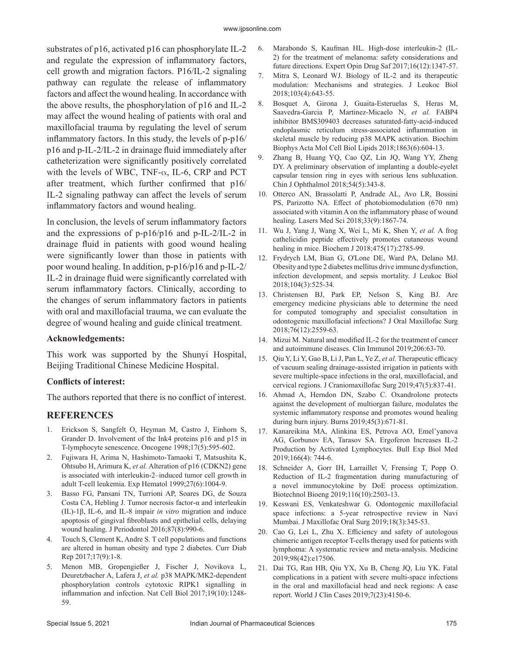substrates of p16, activated p16 can phosphorylate IL-2 and regulate the expression of inflammatory factors, cell growth and migration factors. P16/IL-2 signaling pathway can regulate the release of inflammatory factors and affect the wound healing. In accordance with the above results, the phosphorylation of p16 and IL-2 may affect the wound healing of patients with oral and maxillofacial trauma by regulating the level of serum inflammatory factors. In this study, the levels of p-p16/ p16 and p-IL-2/IL-2 in drainage fluid immediately after catheterization were significantly positively correlated with the levels of WBC, TNF- $\alpha$ , IL-6, CRP and PCT after treatment, which further confirmed that p16/ IL-2 signaling pathway can affect the levels of serum inflammatory factors and wound healing.

In conclusion, the levels of serum inflammatory factors and the expressions of p-p16/p16 and p-IL-2/IL-2 in drainage fluid in patients with good wound healing were significantly lower than those in patients with poor wound healing. In addition, p-p16/p16 and p-IL-2/ IL-2 in drainage fluid were significantly correlated with serum inflammatory factors. Clinically, according to the changes of serum inflammatory factors in patients with oral and maxillofacial trauma, we can evaluate the degree of wound healing and guide clinical treatment.

#### **Acknowledgements:**

This work was supported by the Shunyi Hospital, Beijing Traditional Chinese Medicine Hospital.

### **Conflicts of interest:**

The authors reported that there is no conflict of interest.

# **REFERENCES**

- 1. Erickson S, Sangfelt O, Heyman M, Castro J, Einhorn S, Grander D. Involvement of the Ink4 proteins p16 and p15 in T-lymphocyte senescence. Oncogene 1998;17(5):595-602.
- 2. Fujiwara H, Arima N, Hashimoto-Tamaoki T, Matsushita K, Ohtsubo H, Arimura K, *et al.* Alteration of p16 (CDKN2) gene is associated with interleukin-2–induced tumor cell growth in adult T-cell leukemia. Exp Hematol 1999;27(6):1004-9.
- 3. Basso FG, Pansani TN, Turrioni AP, Soares DG, de Souza Costa CA, Hebling J. Tumor necrosis factor-α and interleukin (IL)‐1β, IL‐6, and IL‐8 impair *in vitro* migration and induce apoptosis of gingival fibroblasts and epithelial cells, delaying wound healing. J Periodontol 2016;87(8):990-6.
- 4. Touch S, Clement K, Andre S. T cell populations and functions are altered in human obesity and type 2 diabetes. Curr Diab Rep 2017;17(9):1-8.
- 5. Menon MB, Gropengießer J, Fischer J, Novikova L, Deuretzbacher A, Lafera J, *et al.* p38 MAPK/MK2-dependent phosphorylation controls cytotoxic RIPK1 signalling in inflammation and infection. Nat Cell Biol 2017;19(10):1248- 59.
- 6. Marabondo S, Kaufman HL. High-dose interleukin-2 (IL-2) for the treatment of melanoma: safety considerations and future directions. Expert Opin Drug Saf 2017;16(12):1347-57.
- 7. Mitra S, Leonard WJ. Biology of IL‐2 and its therapeutic modulation: Mechanisms and strategies. J Leukoc Biol 2018;103(4):643-55.
- 8. Bosquet A, Girona J, Guaita-Esteruelas S, Heras M, Saavedra-Garcia P, Martinez-Micaelo N, *et al.* FABP4 inhibitor BMS309403 decreases saturated-fatty-acid-induced endoplasmic reticulum stress-associated inflammation in skeletal muscle by reducing p38 MAPK activation. Biochim Biophys Acta Mol Cell Biol Lipids 2018;1863(6):604-13.
- 9. Zhang B, Huang YQ, Cao QZ, Lin JQ, Wang YY, Zheng DY. A preliminary observation of implanting a double-eyelet capsular tension ring in eyes with serious lens subluxation. Chin J Ophthalmol 2018;54(5):343-8.
- 10. Otterco AN, Brassolatti P, Andrade AL, Avo LR, Bossini PS, Parizotto NA. Effect of photobiomodulation (670 nm) associated with vitamin A on the inflammatory phase of wound healing. Lasers Med Sci 2018;33(9):1867-74.
- 11. Wu J, Yang J, Wang X, Wei L, Mi K, Shen Y, *et al.* A frog cathelicidin peptide effectively promotes cutaneous wound healing in mice. Biochem J 2018;475(17):2785-99.
- 12. Frydrych LM, Bian G, O'Lone DE, Ward PA, Delano MJ. Obesity and type 2 diabetes mellitus drive immune dysfunction, infection development, and sepsis mortality. J Leukoc Biol 2018;104(3):525-34.
- 13. Christensen BJ, Park EP, Nelson S, King BJ. Are emergency medicine physicians able to determine the need for computed tomography and specialist consultation in odontogenic maxillofacial infections? J Oral Maxillofac Surg 2018;76(12):2559-63.
- 14. Mizui M. Natural and modified IL-2 for the treatment of cancer and autoimmune diseases. Clin Immunol 2019;206:63-70.
- 15. Qiu Y, Li Y, Gao B, Li J, Pan L, Ye Z, *et al.* Therapeutic efficacy of vacuum sealing drainage-assisted irrigation in patients with severe multiple-space infections in the oral, maxillofacial, and cervical regions. J Craniomaxillofac Surg 2019;47(5):837-41.
- 16. Ahmad A, Herndon DN, Szabo C. Oxandrolone protects against the development of multiorgan failure, modulates the systemic inflammatory response and promotes wound healing during burn injury. Burns 2019;45(3):671-81.
- 17. Kanareikina MA, Alinkina ES, Petrova AO, Emel'yanova AG, Gorbunov EA, Tarasov SA. Ergoferon Increases IL-2 Production by Activated Lymphocytes. Bull Exp Biol Med 2019;166(4): 744-6.
- 18. Schneider A, Gorr IH, Larraillet V, Frensing T, Popp O. Reduction of IL‐2 fragmentation during manufacturing of a novel immunocytokine by DoE process optimization. Biotechnol Bioeng 2019;116(10):2503-13.
- 19. Keswani ES, Venkateshwar G. Odontogenic maxillofacial space infections: a 5-year retrospective review in Navi Mumbai. J Maxillofac Oral Surg 2019;18(3):345-53.
- 20. Cao G, Lei L, Zhu X. Efficiency and safety of autologous chimeric antigen receptor T-cells therapy used for patients with lymphoma: A systematic review and meta-analysis. Medicine 2019;98(42):e17506.
- 21. Dai TG, Ran HB, Qiu YX, Xu B, Cheng JQ, Liu YK. Fatal complications in a patient with severe multi-space infections in the oral and maxillofacial head and neck regions: A case report. World J Clin Cases 2019;7(23):4150-6.